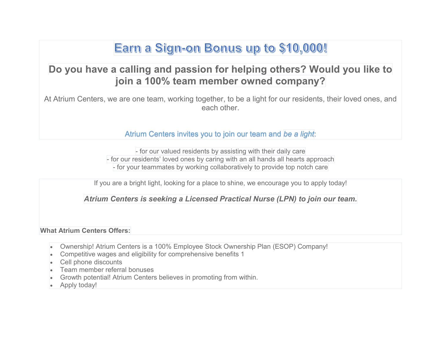# Earn a Sign-on Bonus up to \$10,000!

### **Do you have a calling and passion for helping others? Would you like to join a 100% team member owned company?**

At Atrium Centers, we are one team, working together, to be a light for our residents, their loved ones, and each other.

Atrium Centers invites you to join our team and *be a light*:

- for our valued residents by assisting with their daily care - for our residents' loved ones by caring with an all hands all hearts approach - for your teammates by working collaboratively to provide top notch care

If you are a bright light, looking for a place to shine, we encourage you to apply today!

*Atrium Centers is seeking a Licensed Practical Nurse (LPN) to join our team.*

**What Atrium Centers Offers:**

- Ownership! Atrium Centers is a 100% Employee Stock Ownership Plan (ESOP) Company!
- Competitive wages and eligibility for comprehensive benefits 1
- Cell phone discounts
- Team member referral bonuses
- Growth potential! Atrium Centers believes in promoting from within.
- Apply today!